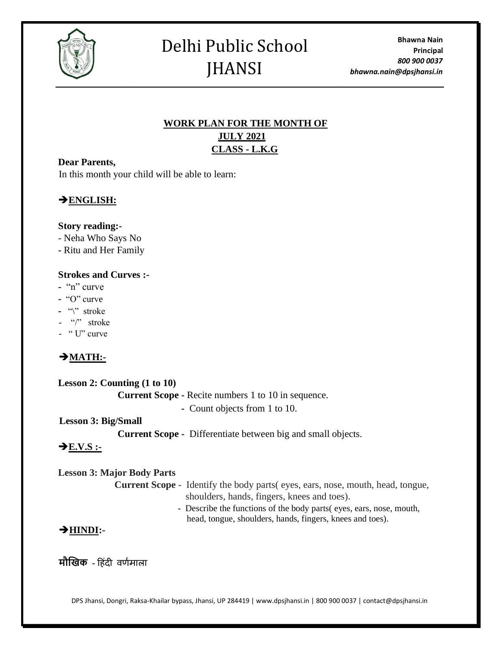

# Delhi Public School JHANSI

## **WORK PLAN FOR THE MONTH OF JULY 2021 CLASS - L.K.G**

#### **Dear Parents,**

In this month your child will be able to learn:

## ➔**ENGLISH:**

#### **Story reading:-**

- Neha Who Says No
- **-** Ritu and Her Family

#### **Strokes and Curves :-**

- **-** "n" curve
- **-** "O" curve
- **-** "\" stroke
- "/" stroke
- " U" curve

## ➔**MATH:-**

| Lesson 2: Counting $(1 to 10)$    |                                                                                        |
|-----------------------------------|----------------------------------------------------------------------------------------|
|                                   | <b>Current Scope - Recite numbers 1 to 10 in sequence.</b>                             |
|                                   | - Count objects from 1 to 10.                                                          |
| Lesson 3: Big/Small               |                                                                                        |
|                                   | <b>Current Scope</b> - Differentiate between big and small objects.                    |
| $\rightarrow$ E.V.S :-            |                                                                                        |
| <b>Lesson 3: Major Body Parts</b> |                                                                                        |
|                                   | <b>Current Scope</b> - Identify the body parts (eyes, ears, nose, mouth, head, tongue, |

shoulders, hands, fingers, knees and toes). - Describe the functions of the body parts( eyes, ears, nose, mouth, head, tongue, shoulders, hands, fingers, knees and toes).

### ➔**HINDI:-**

**मौखिक** - हिंदी वर्णमाला

DPS Jhansi, Dongri, Raksa-Khailar bypass, Jhansi, UP 284419 | www.dpsjhansi.in | 800 900 0037 | contact@dpsjhansi.in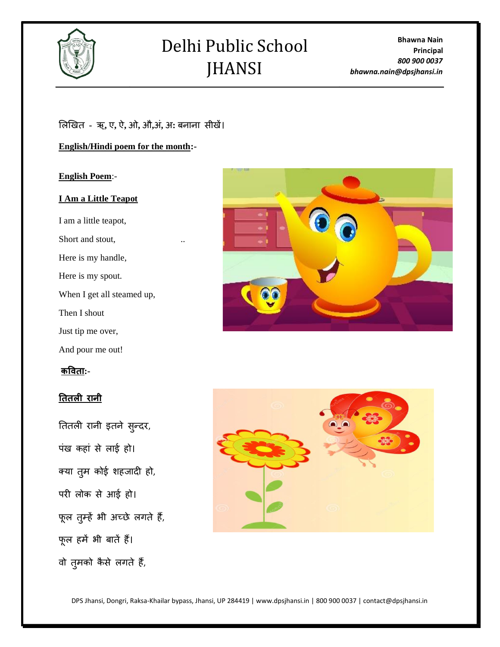

# Delhi Public School JHANSI

**Bhawna Nain Principal** *800 900 0037 bhawna.nain@dpsjhansi.in*

#### ललखित **-** ऋ**,** ए**,** ऐ**,** ओ**,** औ**,**अिं**,** अ**:** बनाना सीिें।

**English/Hindi poem for the month:-**

**English Poem**:-

#### **I Am a Little Teapot**

I am a little teapot, Short and stout, Here is my handle, Here is my spout. When I get all steamed up, Then I shout Just tip me over, And pour me out!

#### **कविता:-**

#### **तततली रानी**

तततली रानी इतने सुन्दर, पंख कहां से लाई हो। क्या तुम कोई शहजादी हो, परी लोक से आई हो। फूल तुम्हें भी अच्छे लगते हैं, फूल में भी बातें ैं। वो तुमको कैसे लगते हैं,





DPS Jhansi, Dongri, Raksa-Khailar bypass, Jhansi, UP 284419 | www.dpsjhansi.in | 800 900 0037 | contact@dpsjhansi.in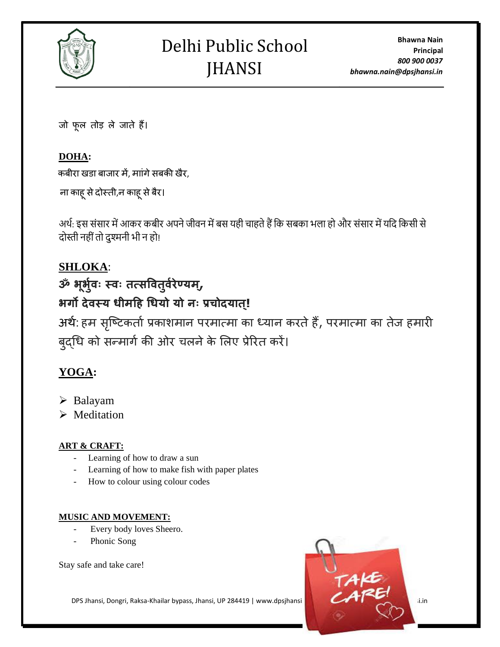

जो फूल तोड़ ले जाते ैं।

## **DOHA:**

कबीरा खडा बाजार में, माांगे सबकी खैर,

ना काहू से दोस्ती,न काहू से बैर।

अर्थ: इस संसार में आकर कबीर अपने जीवन में बस यही चाहते हैं कि सबका भला हो और संसार में यदि किसी से दोस्ती नहीं तो दुश्मनी भी न हो!

# **SHLOKA**:

# **ॐ भ ू भ भ ुिः स्िः तत्सवितभ िुरेण्यम,्**

# **भर्गो देिस्य धीमहि धधयो यो नः प्रचोदयात ्!**

अर्थ: हम सृष्टिकतो प्रकाशमान परमात्मा का ध्यान करते हैं, परमात्मा का तेज हमारी बुद्धि को सन्मागे की ओर चलने के लिए प्रेरित करें।

# **YOGA:**

- ➢ Balayam
- ➢ Meditation

## **ART & CRAFT:**

- Learning of how to draw a sun
- Learning of how to make fish with paper plates
- How to colour using colour codes

### **MUSIC AND MOVEMENT:**

- Every body loves Sheero.
- Phonic Song

Stay safe and take care!



DPS Jhansi, Dongri, Raksa-Khailar bypass, Jhansi, UP 284419 | www.dpsjhansi. | 800 900 900 0037 | contact @dps